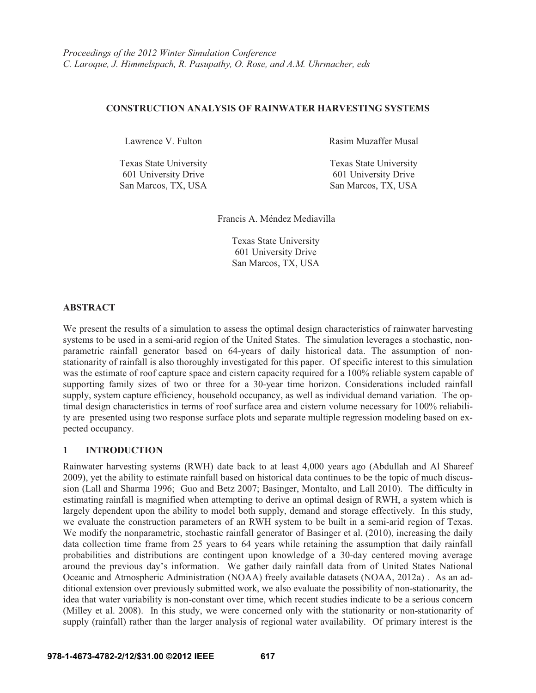### **CONSTRUCTION ANALYSIS OF RAINWATER HARVESTING SYSTEMS**

601 University Drive 601 University Drive San Marcos, TX, USA San Marcos, TX, USA

Lawrence V. Fulton **Rasim Muzaffer Musal** 

Texas State University Texas State University

Francis A. Méndez Mediavilla

 Texas State University 601 University Drive San Marcos, TX, USA

### **ABSTRACT**

We present the results of a simulation to assess the optimal design characteristics of rainwater harvesting systems to be used in a semi-arid region of the United States. The simulation leverages a stochastic, nonparametric rainfall generator based on 64-years of daily historical data. The assumption of nonstationarity of rainfall is also thoroughly investigated for this paper. Of specific interest to this simulation was the estimate of roof capture space and cistern capacity required for a 100% reliable system capable of supporting family sizes of two or three for a 30-year time horizon. Considerations included rainfall supply, system capture efficiency, household occupancy, as well as individual demand variation. The optimal design characteristics in terms of roof surface area and cistern volume necessary for 100% reliability are presented using two response surface plots and separate multiple regression modeling based on expected occupancy.

# **1 INTRODUCTION**

Rainwater harvesting systems (RWH) date back to at least 4,000 years ago (Abdullah and Al Shareef 2009), yet the ability to estimate rainfall based on historical data continues to be the topic of much discussion (Lall and Sharma 1996; Guo and Betz 2007; Basinger, Montalto, and Lall 2010). The difficulty in estimating rainfall is magnified when attempting to derive an optimal design of RWH, a system which is largely dependent upon the ability to model both supply, demand and storage effectively. In this study, we evaluate the construction parameters of an RWH system to be built in a semi-arid region of Texas. We modify the nonparametric, stochastic rainfall generator of Basinger et al. (2010), increasing the daily data collection time frame from 25 years to 64 years while retaining the assumption that daily rainfall probabilities and distributions are contingent upon knowledge of a 30-day centered moving average around the previous day's information. We gather daily rainfall data from of United States National Oceanic and Atmospheric Administration (NOAA) freely available datasets (NOAA, 2012a) . As an additional extension over previously submitted work, we also evaluate the possibility of non-stationarity, the idea that water variability is non-constant over time, which recent studies indicate to be a serious concern (Milley et al. 2008). In this study, we were concerned only with the stationarity or non-stationarity of supply (rainfall) rather than the larger analysis of regional water availability. Of primary interest is the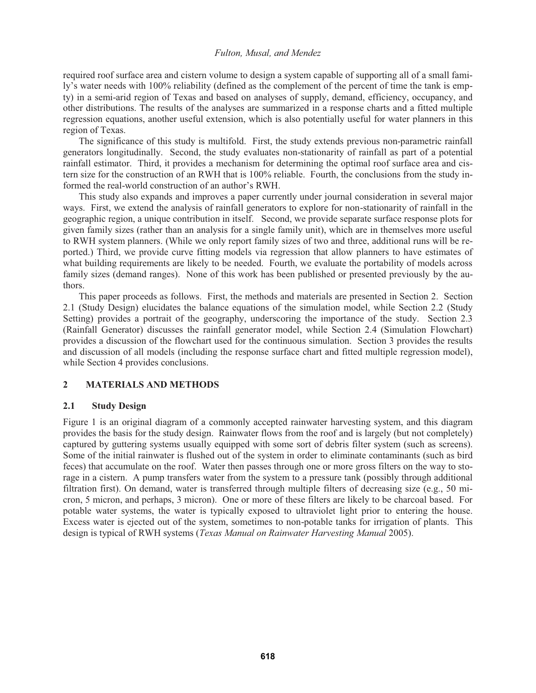required roof surface area and cistern volume to design a system capable of supporting all of a small family's water needs with 100% reliability (defined as the complement of the percent of time the tank is empty) in a semi-arid region of Texas and based on analyses of supply, demand, efficiency, occupancy, and other distributions. The results of the analyses are summarized in a response charts and a fitted multiple regression equations, another useful extension, which is also potentially useful for water planners in this region of Texas.

The significance of this study is multifold. First, the study extends previous non-parametric rainfall generators longitudinally. Second, the study evaluates non-stationarity of rainfall as part of a potential rainfall estimator. Third, it provides a mechanism for determining the optimal roof surface area and cistern size for the construction of an RWH that is 100% reliable. Fourth, the conclusions from the study informed the real-world construction of an author's RWH.

This study also expands and improves a paper currently under journal consideration in several major ways. First, we extend the analysis of rainfall generators to explore for non-stationarity of rainfall in the geographic region, a unique contribution in itself. Second, we provide separate surface response plots for given family sizes (rather than an analysis for a single family unit), which are in themselves more useful to RWH system planners. (While we only report family sizes of two and three, additional runs will be reported.) Third, we provide curve fitting models via regression that allow planners to have estimates of what building requirements are likely to be needed. Fourth, we evaluate the portability of models across family sizes (demand ranges). None of this work has been published or presented previously by the authors.

 This paper proceeds as follows. First, the methods and materials are presented in Section 2. Section 2.1 (Study Design) elucidates the balance equations of the simulation model, while Section 2.2 (Study Setting) provides a portrait of the geography, underscoring the importance of the study. Section 2.3 (Rainfall Generator) discusses the rainfall generator model, while Section 2.4 (Simulation Flowchart) provides a discussion of the flowchart used for the continuous simulation. Section 3 provides the results and discussion of all models (including the response surface chart and fitted multiple regression model), while Section 4 provides conclusions.

# **2 MATERIALS AND METHODS**

# **2.1 Study Design**

Figure 1 is an original diagram of a commonly accepted rainwater harvesting system, and this diagram provides the basis for the study design. Rainwater flows from the roof and is largely (but not completely) captured by guttering systems usually equipped with some sort of debris filter system (such as screens). Some of the initial rainwater is flushed out of the system in order to eliminate contaminants (such as bird feces) that accumulate on the roof. Water then passes through one or more gross filters on the way to storage in a cistern. A pump transfers water from the system to a pressure tank (possibly through additional filtration first). On demand, water is transferred through multiple filters of decreasing size (e.g., 50 micron, 5 micron, and perhaps, 3 micron). One or more of these filters are likely to be charcoal based. For potable water systems, the water is typically exposed to ultraviolet light prior to entering the house. Excess water is ejected out of the system, sometimes to non-potable tanks for irrigation of plants. This design is typical of RWH systems (*Texas Manual on Rainwater Harvesting Manual* 2005).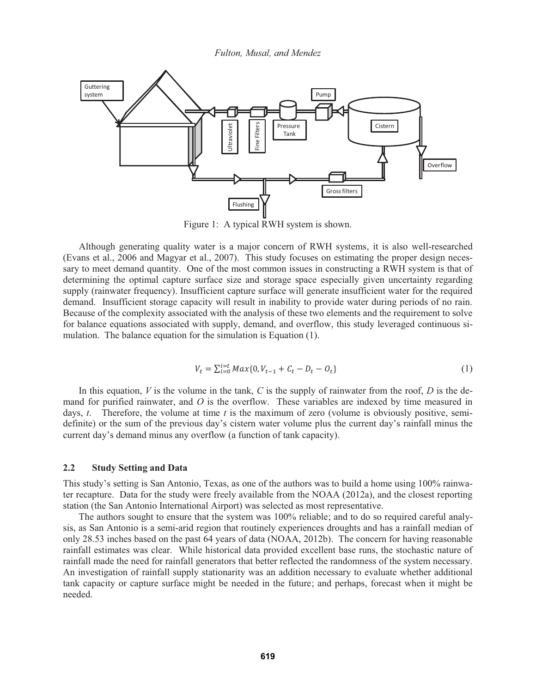

Figure 1: A typical RWH system is shown.

 Although generating quality water is a major concern of RWH systems, it is also well-researched (Evans et al., 2006 and Magyar et al., 2007). This study focuses on estimating the proper design necessary to meet demand quantity. One of the most common issues in constructing a RWH system is that of determining the optimal capture surface size and storage space especially given uncertainty regarding supply (rainwater frequency). Insufficient capture surface will generate insufficient water for the required demand. Insufficient storage capacity will result in inability to provide water during periods of no rain. Because of the complexity associated with the analysis of these two elements and the requirement to solve for balance equations associated with supply, demand, and overflow, this study leveraged continuous simulation. The balance equation for the simulation is Equation (1).

$$
V_t = \sum_{i=0}^{i=t} Max\{0, V_{t-1} + C_t - D_t - O_t\}
$$
\n(1)

In this equation,  $V$  is the volume in the tank,  $C$  is the supply of rainwater from the roof,  $D$  is the demand for purified rainwater, and *O* is the overflow. These variables are indexed by time measured in days, *t*. Therefore, the volume at time *t* is the maximum of zero (volume is obviously positive, semidefinite) or the sum of the previous day's cistern water volume plus the current day's rainfall minus the current day's demand minus any overflow (a function of tank capacity).

### **2.2 Study Setting and Data**

This study's setting is San Antonio, Texas, as one of the authors was to build a home using 100% rainwater recapture. Data for the study were freely available from the NOAA (2012a), and the closest reporting station (the San Antonio International Airport) was selected as most representative.

 The authors sought to ensure that the system was 100% reliable; and to do so required careful analysis, as San Antonio is a semi-arid region that routinely experiences droughts and has a rainfall median of only 28.53 inches based on the past 64 years of data (NOAA, 2012b). The concern for having reasonable rainfall estimates was clear. While historical data provided excellent base runs, the stochastic nature of rainfall made the need for rainfall generators that better reflected the randomness of the system necessary. An investigation of rainfall supply stationarity was an addition necessary to evaluate whether additional tank capacity or capture surface might be needed in the future; and perhaps, forecast when it might be needed.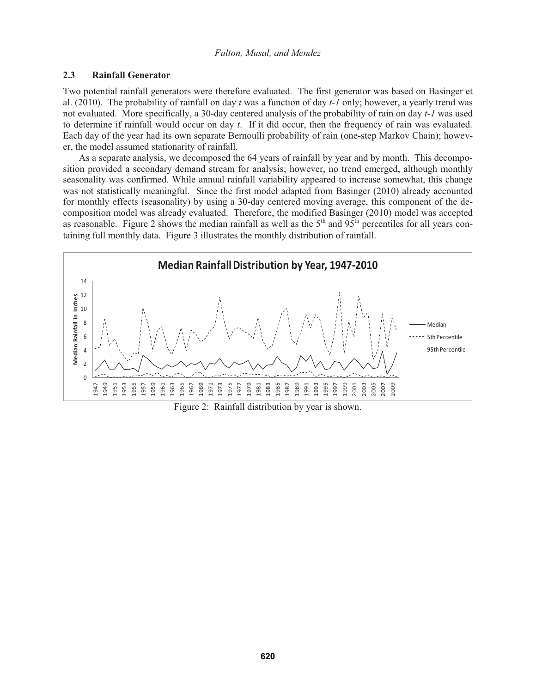### **2.3 Rainfall Generator**

Two potential rainfall generators were therefore evaluated. The first generator was based on Basinger et al. (2010). The probability of rainfall on day *t* was a function of day *t-1* only; however, a yearly trend was not evaluated. More specifically, a 30-day centered analysis of the probability of rain on day *t-1* was used to determine if rainfall would occur on day *t*. If it did occur, then the frequency of rain was evaluated. Each day of the year had its own separate Bernoulli probability of rain (one-step Markov Chain); however, the model assumed stationarity of rainfall.

 As a separate analysis, we decomposed the 64 years of rainfall by year and by month. This decomposition provided a secondary demand stream for analysis; however, no trend emerged, although monthly seasonality was confirmed. While annual rainfall variability appeared to increase somewhat, this change was not statistically meaningful. Since the first model adapted from Basinger (2010) already accounted for monthly effects (seasonality) by using a 30-day centered moving average, this component of the decomposition model was already evaluated. Therefore, the modified Basinger (2010) model was accepted as reasonable. Figure 2 shows the median rainfall as well as the  $5<sup>th</sup>$  and  $95<sup>th</sup>$  percentiles for all years containing full monthly data. Figure 3 illustrates the monthly distribution of rainfall.



Figure 2: Rainfall distribution by year is shown.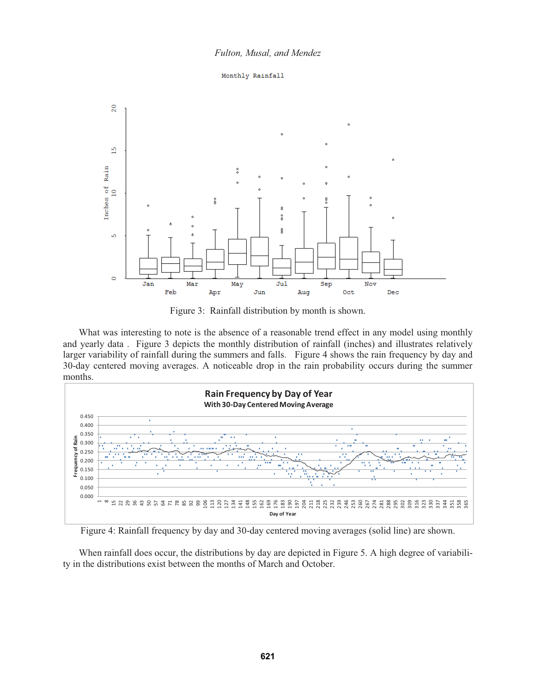



Figure 3: Rainfall distribution by month is shown.

What was interesting to note is the absence of a reasonable trend effect in any model using monthly and yearly data . Figure 3 depicts the monthly distribution of rainfall (inches) and illustrates relatively larger variability of rainfall during the summers and falls. Figure 4 shows the rain frequency by day and 30-day centered moving averages. A noticeable drop in the rain probability occurs during the summer months.



Figure 4: Rainfall frequency by day and 30-day centered moving averages (solid line) are shown.

 When rainfall does occur, the distributions by day are depicted in Figure 5. A high degree of variability in the distributions exist between the months of March and October.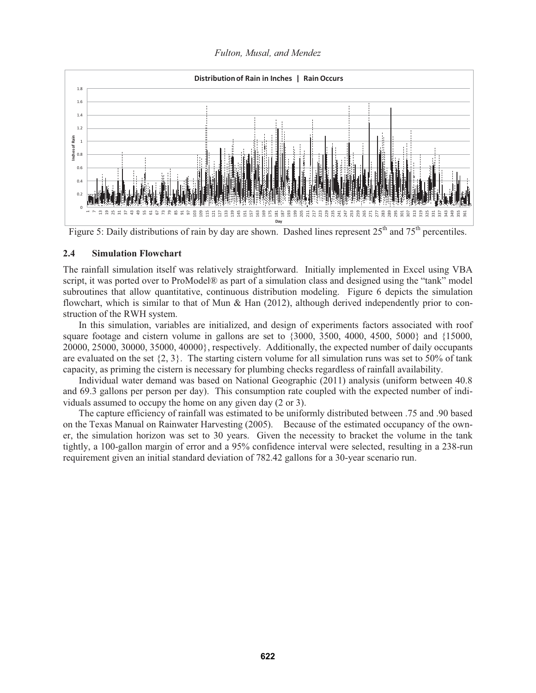*Fulton, Musal, and Mendez* 



Figure 5: Daily distributions of rain by day are shown. Dashed lines represent 25<sup>th</sup> and 75<sup>th</sup> percentiles.

### **2.4 Simulation Flowchart**

The rainfall simulation itself was relatively straightforward. Initially implemented in Excel using VBA script, it was ported over to ProModel® as part of a simulation class and designed using the "tank" model subroutines that allow quantitative, continuous distribution modeling. Figure 6 depicts the simulation flowchart, which is similar to that of Mun & Han (2012), although derived independently prior to construction of the RWH system.

In this simulation, variables are initialized, and design of experiments factors associated with roof square footage and cistern volume in gallons are set to {3000, 3500, 4000, 4500, 5000} and {15000, 20000, 25000, 30000, 35000, 40000}, respectively. Additionally, the expected number of daily occupants are evaluated on the set  $\{2, 3\}$ . The starting cistern volume for all simulation runs was set to 50% of tank capacity, as priming the cistern is necessary for plumbing checks regardless of rainfall availability.

Individual water demand was based on National Geographic (2011) analysis (uniform between 40.8 and 69.3 gallons per person per day). This consumption rate coupled with the expected number of individuals assumed to occupy the home on any given day (2 or 3).

The capture efficiency of rainfall was estimated to be uniformly distributed between .75 and .90 based on the Texas Manual on Rainwater Harvesting (2005). Because of the estimated occupancy of the owner, the simulation horizon was set to 30 years. Given the necessity to bracket the volume in the tank tightly, a 100-gallon margin of error and a 95% confidence interval were selected, resulting in a 238-run requirement given an initial standard deviation of 782.42 gallons for a 30-year scenario run.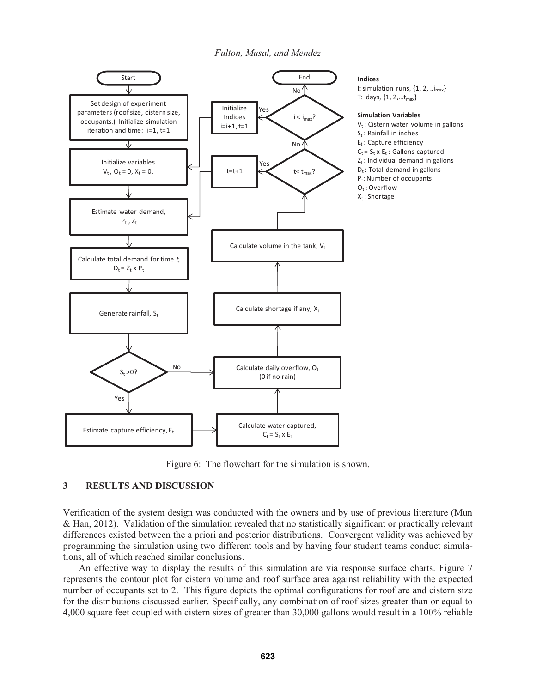

Figure 6: The flowchart for the simulation is shown.

# **3 RESULTS AND DISCUSSION**

Verification of the system design was conducted with the owners and by use of previous literature (Mun & Han, 2012). Validation of the simulation revealed that no statistically significant or practically relevant differences existed between the a priori and posterior distributions. Convergent validity was achieved by programming the simulation using two different tools and by having four student teams conduct simulations, all of which reached similar conclusions.

 An effective way to display the results of this simulation are via response surface charts. Figure 7 represents the contour plot for cistern volume and roof surface area against reliability with the expected number of occupants set to 2. This figure depicts the optimal configurations for roof are and cistern size for the distributions discussed earlier. Specifically, any combination of roof sizes greater than or equal to 4,000 square feet coupled with cistern sizes of greater than 30,000 gallons would result in a 100% reliable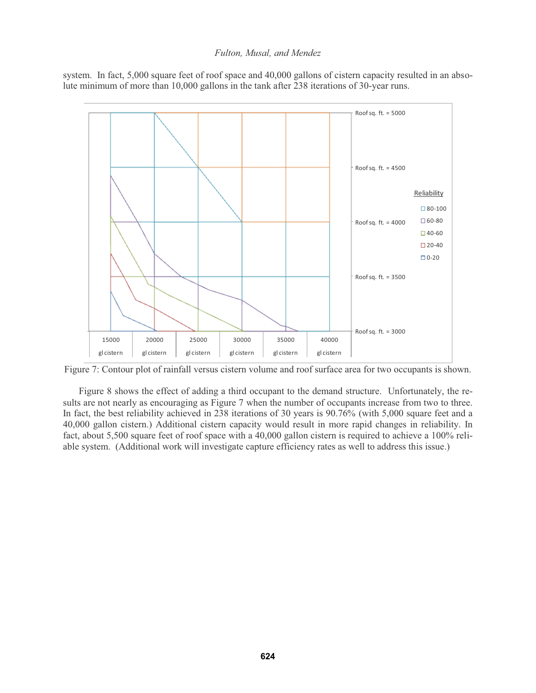system. In fact, 5,000 square feet of roof space and 40,000 gallons of cistern capacity resulted in an absolute minimum of more than 10,000 gallons in the tank after 238 iterations of 30-year runs.



Figure 7: Contour plot of rainfall versus cistern volume and roof surface area for two occupants is shown.

 Figure 8 shows the effect of adding a third occupant to the demand structure. Unfortunately, the results are not nearly as encouraging as Figure 7 when the number of occupants increase from two to three. In fact, the best reliability achieved in 238 iterations of 30 years is 90.76% (with 5,000 square feet and a 40,000 gallon cistern.) Additional cistern capacity would result in more rapid changes in reliability. In fact, about 5,500 square feet of roof space with a 40,000 gallon cistern is required to achieve a 100% reliable system. (Additional work will investigate capture efficiency rates as well to address this issue.)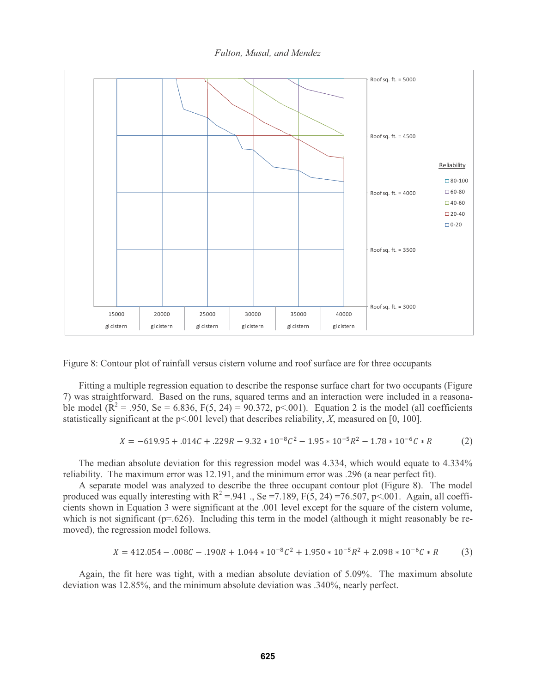*Fulton, Musal, and Mendez* 





 Fitting a multiple regression equation to describe the response surface chart for two occupants (Figure 7) was straightforward. Based on the runs, squared terms and an interaction were included in a reasonable model ( $\mathbb{R}^2 = .950$ , Se = 6.836, F(5, 24) = 90.372, p < 0.01). Equation 2 is the model (all coefficients statistically significant at the p<.001 level) that describes reliability, *X*, measured on [0, 100].

$$
X = -619.95 + .014C + .229R - 9.32 \times 10^{-8}C^2 - 1.95 \times 10^{-5}R^2 - 1.78 \times 10^{-6}C \times R
$$
 (2)

 The median absolute deviation for this regression model was 4.334, which would equate to 4.334% reliability. The maximum error was 12.191, and the minimum error was .296 (a near perfect fit).

 A separate model was analyzed to describe the three occupant contour plot (Figure 8). The model produced was equally interesting with  $R^2 = .941$ ., Se =7.189, F(5, 24) =76.507, p<.001. Again, all coefficients shown in Equation 3 were significant at the .001 level except for the square of the cistern volume, which is not significant ( $p=0.626$ ). Including this term in the model (although it might reasonably be removed), the regression model follows.

$$
X = 412.054 - .008C - .190R + 1.044 \times 10^{-8}C^2 + 1.950 \times 10^{-5}R^2 + 2.098 \times 10^{-6}C \times R
$$
 (3)

 Again, the fit here was tight, with a median absolute deviation of 5.09%. The maximum absolute deviation was 12.85%, and the minimum absolute deviation was .340%, nearly perfect.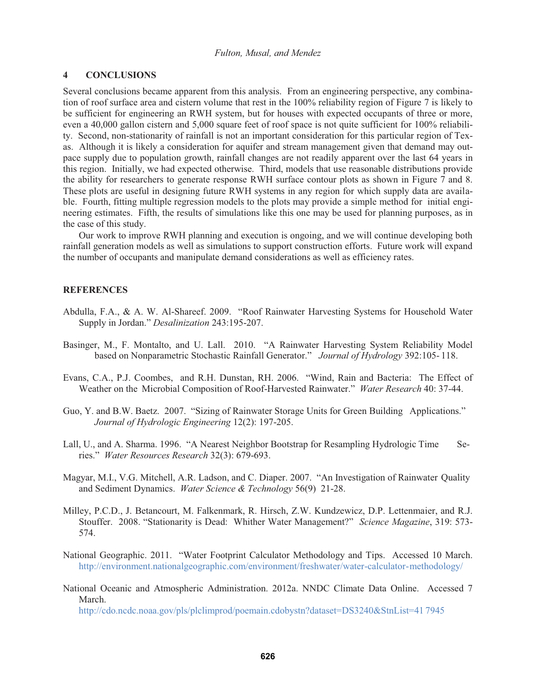### **4 CONCLUSIONS**

Several conclusions became apparent from this analysis. From an engineering perspective, any combination of roof surface area and cistern volume that rest in the 100% reliability region of Figure 7 is likely to be sufficient for engineering an RWH system, but for houses with expected occupants of three or more, even a 40,000 gallon cistern and 5,000 square feet of roof space is not quite sufficient for 100% reliability. Second, non-stationarity of rainfall is not an important consideration for this particular region of Texas. Although it is likely a consideration for aquifer and stream management given that demand may outpace supply due to population growth, rainfall changes are not readily apparent over the last 64 years in this region. Initially, we had expected otherwise. Third, models that use reasonable distributions provide the ability for researchers to generate response RWH surface contour plots as shown in Figure 7 and 8. These plots are useful in designing future RWH systems in any region for which supply data are available. Fourth, fitting multiple regression models to the plots may provide a simple method for initial engineering estimates. Fifth, the results of simulations like this one may be used for planning purposes, as in the case of this study.

 Our work to improve RWH planning and execution is ongoing, and we will continue developing both rainfall generation models as well as simulations to support construction efforts. Future work will expand the number of occupants and manipulate demand considerations as well as efficiency rates.

# **REFERENCES**

- Abdulla, F.A., & A. W. Al-Shareef. 2009. "Roof Rainwater Harvesting Systems for Household Water Supply in Jordan." *Desalinization* 243:195-207.
- Basinger, M., F. Montalto, and U. Lall. 2010. "A Rainwater Harvesting System Reliability Model based on Nonparametric Stochastic Rainfall Generator." *Journal of Hydrology* 392:105- 118.
- Evans, C.A., P.J. Coombes, and R.H. Dunstan, RH. 2006. "Wind, Rain and Bacteria: The Effect of Weather on the Microbial Composition of Roof-Harvested Rainwater." *Water Research* 40: 37-44.
- Guo, Y. and B.W. Baetz. 2007. "Sizing of Rainwater Storage Units for Green Building Applications." *Journal of Hydrologic Engineering* 12(2): 197-205.
- Lall, U., and A. Sharma. 1996. "A Nearest Neighbor Bootstrap for Resampling Hydrologic Time Series." *Water Resources Research* 32(3): 679-693.
- Magyar, M.I., V.G. Mitchell, A.R. Ladson, and C. Diaper. 2007. "An Investigation of Rainwater Quality and Sediment Dynamics. *Water Science & Technology* 56(9) 21-28.
- Milley, P.C.D., J. Betancourt, M. Falkenmark, R. Hirsch, Z.W. Kundzewicz, D.P. Lettenmaier, and R.J. Stouffer. 2008. "Stationarity is Dead: Whither Water Management?" *Science Magazine*, 319: 573- 574.
- National Geographic. 2011. "Water Footprint Calculator Methodology and Tips. Accessed 10 March. http://environment.nationalgeographic.com/environment/freshwater/water-calculator- methodology/
- National Oceanic and Atmospheric Administration. 2012a. NNDC Climate Data Online. Accessed 7 March.

http://cdo.ncdc.noaa.gov/pls/plclimprod/poemain.cdobystn?dataset=DS3240&StnList=41 7945